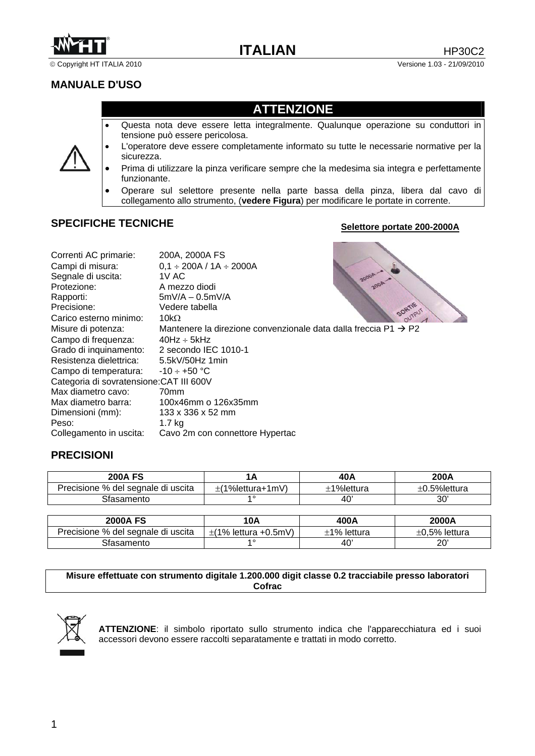

© Copyright HT ITALIA 2010 Versione 1.03 - 21/09/2010

# **MANUALE D'USO**

# **ATTENZIONE**

- Questa nota deve essere letta integralmente. Qualunque operazione su conduttori in tensione può essere pericolosa.
- L'operatore deve essere completamente informato su tutte le necessarie normative per la sicurezza.
- Prima di utilizzare la pinza verificare sempre che la medesima sia integra e perfettamente funzionante.
- Operare sul selettore presente nella parte bassa della pinza, libera dal cavo di collegamento allo strumento, (**vedere Figura**) per modificare le portate in corrente.

# **SPECIFICHE TECNICHE**

### **Selettore portate 200-2000A**

| Correnti AC primarie:                    | 200A, 2000A FS                                                              |
|------------------------------------------|-----------------------------------------------------------------------------|
| Campi di misura:                         | $0,1 \div 200A / 1A \div 2000A$                                             |
| Segnale di uscita:                       | 1V AC.                                                                      |
| Protezione:                              | A mezzo diodi                                                               |
| Rapporti:                                | $5mV/A - 0.5mV/A$                                                           |
| Precisione:                              | SORTIF<br>Vedere tabella                                                    |
| Carico esterno minimo:                   | 10k $\Omega$                                                                |
| Misure di potenza:                       | Mantenere la direzione convenzionale data dalla freccia $P1 \rightarrow P2$ |
| Campo di frequenza:                      | $40Hz \div 5kHz$                                                            |
| Grado di inquinamento:                   | 2 secondo IEC 1010-1                                                        |
| Resistenza dielettrica:                  | 5.5kV/50Hz 1min                                                             |
| Campo di temperatura:                    | $-10 \div +50$ °C                                                           |
| Categoria di sovratensione: CAT III 600V |                                                                             |
| Max diametro cavo:                       | 70 <sub>mm</sub>                                                            |
| Max diametro barra:                      | 100x46mm o 126x35mm                                                         |
| Dimensioni (mm):                         | 133 x 336 x 52 mm                                                           |
| Peso:                                    | 1.7 <sub>kg</sub>                                                           |
| Collegamento in uscita:                  | Cavo 2m con connettore Hypertac                                             |

## **PRECISIONI**

| 200A FS                            | הו               | 40A        | 200A               |
|------------------------------------|------------------|------------|--------------------|
| Precisione % del segnale di uscita | :(1%lettura+1mV` | ±1%lettura | $\pm$ 0.5% lettura |
| Sfasamento                         | 4 O              | 40         | 30                 |

| <b>2000A FS</b>                    | 10A                       | 400A        | 2000A               |
|------------------------------------|---------------------------|-------------|---------------------|
| Precisione % del segnale di uscita | $\pm$ (1% lettura +0.5mV) | ±1% lettura | $\pm 0.5\%$ lettura |
| Sfasamento                         | $\overline{4}$            | 40          | 20'                 |

### **Misure effettuate con strumento digitale 1.200.000 digit classe 0.2 tracciabile presso laboratori Cofrac**



**ATTENZIONE**: il simbolo riportato sullo strumento indica che l'apparecchiatura ed i suoi accessori devono essere raccolti separatamente e trattati in modo corretto.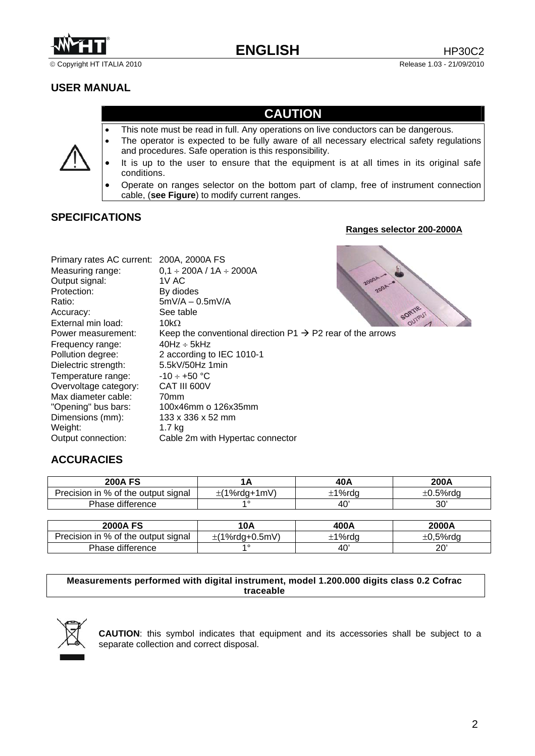

# **USER MANUAL**

# **CAUTION**

- This note must be read in full. Any operations on live conductors can be dangerous.
- The operator is expected to be fully aware of all necessary electrical safety regulations and procedures. Safe operation is this responsibility.
- It is up to the user to ensure that the equipment is at all times in its original safe conditions.
- Operate on ranges selector on the bottom part of clamp, free of instrument connection cable, (**see Figure**) to modify current ranges.

# **SPECIFICATIONS**

### **Ranges selector 200-2000A**

| Primary rates AC current: 200A, 2000A FS |                                                                        |
|------------------------------------------|------------------------------------------------------------------------|
| Measuring range:                         | $0,1 \div 200A / 1A \div 2000A$                                        |
| Output signal:                           | 1V AC                                                                  |
| Protection:                              | By diodes                                                              |
| Ratio:                                   | $5mV/A - 0.5mV/A$                                                      |
| Accuracy:                                | See table                                                              |
| External min load:                       | 10k $\Omega$                                                           |
| Power measurement:                       | Keep the conventional direction $P1 \rightarrow P2$ rear of the arrows |
| Frequency range:                         | $40Hz \div 5kHz$                                                       |
| Pollution degree:                        | 2 according to IEC 1010-1                                              |
| Dielectric strength:                     | 5.5kV/50Hz 1min                                                        |
| Temperature range:                       | $-10 \div +50$ °C                                                      |
| Overvoltage category:                    | CAT III 600V                                                           |
| Max diameter cable:                      | 70 <sub>mm</sub>                                                       |
| "Opening" bus bars:                      | 100x46mm o 126x35mm                                                    |
| Dimensions (mm):                         | 133 x 336 x 52 mm                                                      |
| Weight:                                  | 1.7 kg                                                                 |
| Output connection:                       | Cable 2m with Hypertac connector                                       |

# **ACCURACIES**

| <b>200A FS</b>                      |              | 40A    | 200A            |
|-------------------------------------|--------------|--------|-----------------|
| Precision in % of the output signal | :(1%rda+1mV) | :1%rda | $\pm 0.5\%$ rdo |
| Phase difference                    |              | 40'    | 30'             |

| <b>2000A FS</b>                     | 10A                 | 400A   | 2000A    |
|-------------------------------------|---------------------|--------|----------|
| Precision in % of the output signal | $\pm$ (1%rda+0.5mV) | :1%rdg | +0.5%rdc |
| Phase difference                    |                     | 40'    | 20'      |

#### **Measurements performed with digital instrument, model 1.200.000 digits class 0.2 Cofrac traceable**



**CAUTION**: this symbol indicates that equipment and its accessories shall be subject to a separate collection and correct disposal.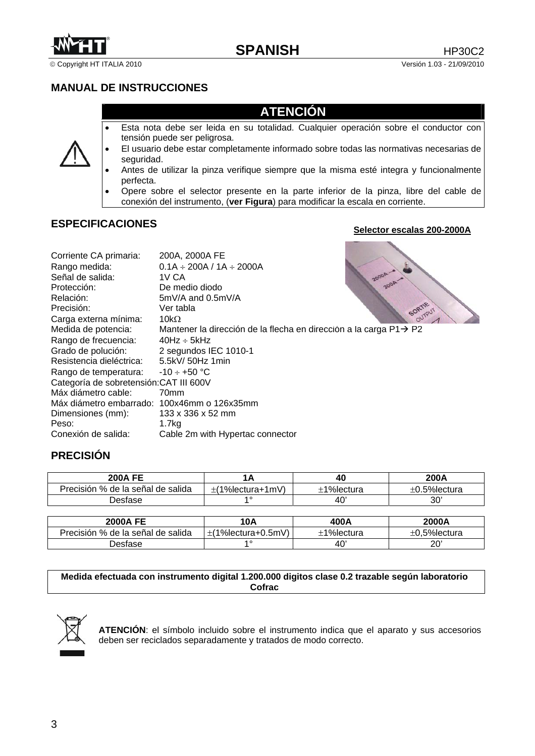

© Copyright HT ITALIA 2010 Versión 1.03 - 21/09/2010

# **MANUAL DE INSTRUCCIONES**

# **ATENCIÓN**

- Esta nota debe ser leida en su totalidad. Cualquier operación sobre el conductor con tensión puede ser peligrosa.
- El usuario debe estar completamente informado sobre todas las normativas necesarias de seguridad.
- Antes de utilizar la pinza verifique siempre que la misma esté integra y funcionalmente perfecta.
- Opere sobre el selector presente en la parte inferior de la pinza, libre del cable de conexión del instrumento, (**ver Figura**) para modificar la escala en corriente.

# **ESPECIFICACIONES**

### **Selector escalas 200-2000A**

| Corriente CA primaria:                      | 200A, 2000A FE                                                                 |
|---------------------------------------------|--------------------------------------------------------------------------------|
| Rango medida:                               | $0.1A \div 200A / 1A \div 2000A$                                               |
| Señal de salida:                            | 1V CA                                                                          |
| Protección:                                 | De medio diodo                                                                 |
| Relación:                                   | $5mV/A$ and 0.5mV/A                                                            |
| Precisión:                                  | SORTIF<br>Ver tabla                                                            |
| Carga externa mínima:                       | 10k $\Omega$                                                                   |
| Medida de potencia:                         | Mantener la dirección de la flecha en dirección a la carga $P1 \rightarrow P2$ |
| Rango de frecuencia:                        | $40Hz \div 5kHz$                                                               |
| Grado de polución:                          | 2 segundos IEC 1010-1                                                          |
| Resistencia dieléctrica:                    | 5.5kV/ 50Hz 1min                                                               |
| Rango de temperatura:                       | $-10 \div +50$ °C                                                              |
| Categoría de sobretensión: CAT III 600V     |                                                                                |
| Máx diámetro cable:                         | 70 <sub>mm</sub>                                                               |
| Máx diámetro embarrado: 100x46mm o 126x35mm |                                                                                |
| Dimensiones (mm):                           | 133 x 336 x 52 mm                                                              |
| Peso:                                       | 1.7 <sub>kq</sub>                                                              |
| Conexión de salida:                         | Cable 2m with Hypertac connector                                               |

## **PRECISIÓN**

| <b>200A FE</b>                    |                           | 40         | 200A               |
|-----------------------------------|---------------------------|------------|--------------------|
| Precisión % de la señal de salida | $\pm$ (1% lectura + 1 mV) | ⊦1%lectura | $\pm 0.5$ %lectura |
| Jesfase .                         | 40                        | 40         | $30^{\circ}$       |

| <b>2000A FE</b>                   | 10A                | 400A          | 2000A              |
|-----------------------------------|--------------------|---------------|--------------------|
| Precisión % de la señal de salida | E(1%lectura+0.5mV) | $±1%$ lectura | $\pm$ 0.5% lectura |
| ⊃esfase                           | $\overline{4}$ 0   | 40'           | 20                 |

#### **Medida efectuada con instrumento digital 1.200.000 digitos clase 0.2 trazable según laboratorio Cofrac**



**ATENCIÓN**: el símbolo incluido sobre el instrumento indica que el aparato y sus accesorios deben ser reciclados separadamente y tratados de modo correcto.